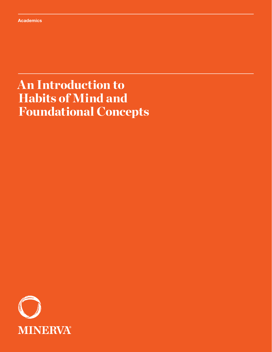# An Introduction to Habits of Mind and Foundational Concepts

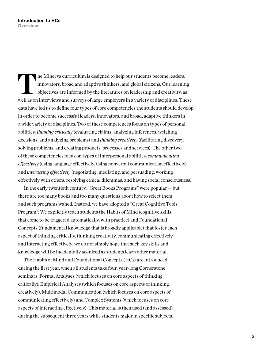The Minerva curriculum is designed to help our students become leaders,<br>innovators, broad and adaptive thinkers, and global citizens. Our learnin<br>objectives are informed by the literatures on leadership and creativity, as<br> innovators, broad and adaptive thinkers, and global citizens. Our learning objectives are informed by the literatures on leadership and creativity, as well as on interviews and surveys of large employers in a variety of disciplines. These data have led us to define four types of core competencies the students should develop in order to become successful leaders, innovators, and broad, adaptive thinkers in a wide variety of disciplines. Two of these competences focus on types of personal abilities: *thinking critically* (evaluating claims, analyzing inferences, weighing decisions, and analyzing problems) and *thinking creatively* (facilitating discovery, solving problems, and creating products, processes and services). The other two of these competencies focus on types of interpersonal abilities: *communicating effectively* (using language effectively, using nonverbal communication effectively) and *interacting effectively* (negotiating, mediating, and persuading; working effectively with others; resolving ethical dilemmas, and having social consciousness).

In the early twentieth century, "Great Books Programs" were popular — but there are too many books and too many questions about how to select them, and such programs waned. Instead, we have adopted a "Great Cognitive Tools Program": We explicitly teach students the Habits of Mind (cognitive skills that come to be triggered automatically, with practice) and Foundational Concepts (fundamental knowledge that is broadly applicable) that foster each aspect of thinking critically, thinking creativity, communicating effectively and interacting effectively; we do not simply hope that such key skills and knowledge will be incidentally acquired as students learn other material.

The Habits of Mind and Foundational Concepts (HCs) are introduced during the first year, when all students take four, year-long Cornerstone seminars: Formal Analyses (which focuses on core aspects of thinking critically), Empirical Analyses (which focuses on core aspects of thinking creatively), Multimodal Communication (which focuses on core aspects of communicating effectively) and Complex Systems (which focuses on core aspects of interacting effectively). This material is then used (and assessed) during the subsequent three years while students major in specific subjects.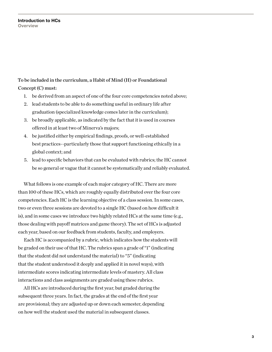### To be included in the curriculum, a Habit of Mind (H) or Foundational Concept (C) must:

- 1. be derived from an aspect of one of the four core competencies noted above;
- 2. lead students to be able to do something useful in ordinary life after graduation (specialized knowledge comes later in the curriculum);
- 3. be broadly applicable, as indicated by the fact that it is used in courses offered in at least two of Minerva's majors;
- 4. be justified either by empirical findings, proofs, or well-established best practices--particularly those that support functioning ethically in a global context; and
- 5. lead to specific behaviors that can be evaluated with rubrics; the HC cannot be so general or vague that it cannot be systematically and reliably evaluated.

What follows is one example of each major category of HC. There are more than 100 of these HCs, which are roughly equally distributed over the four core competencies. Each HC is the learning objective of a class session. In some cases, two or even three sessions are devoted to a single HC (based on how difficult it is), and in some cases we introduce two highly related HCs at the same time (e.g., those dealing with payoff matrices and game theory). The set of HCs is adjusted each year, based on our feedback from students, faculty, and employers.

Each HC is accompanied by a rubric, which indicates how the students will be graded on their use of that HC. The rubrics span a grade of "1" (indicating that the student did not understand the material) to "5" (indicating that the student understood it deeply and applied it in novel ways), with intermediate scores indicating intermediate levels of mastery. All class interactions and class assignments are graded using these rubrics.

All HCs are introduced during the first year, but graded during the subsequent three years. In fact, the grades at the end of the first year are provisional; they are adjusted up or down each semester, depending on how well the student used the material in subsequent classes.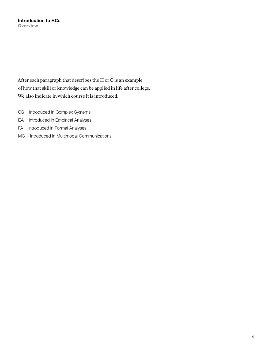**Introduction to HCs Overview**

After each paragraph that describes the H or C is an example of how that skill or knowledge can be applied in life after college. We also indicate in which course it is introduced:

- CS = Introduced in Complex Systems
- EA = Introduced in Empirical Analyses
- FA = Introduced in Formal Analyses
- MC = Introduced in Multimodal Communications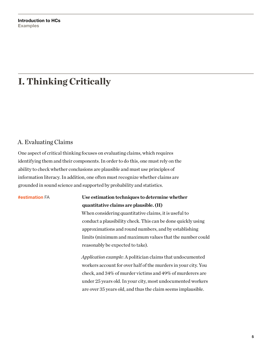## I. Thinking Critically

### A. Evaluating Claims

One aspect of critical thinking focuses on evaluating claims, which requires identifying them and their components. In order to do this, one must rely on the ability to check whether conclusions are plausible and must use principles of information literacy. In addition, one often must recognize whether claims are grounded in sound science and supported by probability and statistics.

#### **#estimation** FA **Use estimation techniques to determine whether quantitative claims are plausible. (H)**

When considering quantitative claims, it is useful to conduct a plausibility check. This can be done quickly using approximations and round numbers, and by establishing limits (minimum and maximum values that the number could reasonably be expected to take).

*Application example:* A politician claims that undocumented workers account for over half of the murders in your city. You check, and 34% of murder victims and 49% of murderers are under 25 years old. In your city, most undocumented workers are over 35 years old, and thus the claim seems implausible.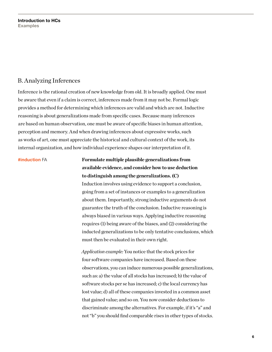#### B. Analyzing Inferences

Inference is the rational creation of new knowledge from old. It is broadly applied. One must be aware that even if a claim is correct, inferences made from it may not be. Formal logic provides a method for determining which inferences are valid and which are not. Inductive reasoning is about generalizations made from specific cases. Because many inferences are based on human observation, one must be aware of specific biases in human attention, perception and memory. And when drawing inferences about expressive works, such as works of art, one must appreciate the historical and cultural context of the work, its internal organization, and how individual experience shapes our interpretation of it.

**#induction** FA **Formulate multiple plausible generalizations from available evidence, and consider how to use deduction to distinguish among the generalizations. (C)** Induction involves using evidence to support a conclusion, going from a set of instances or examples to a generalization about them. Importantly, strong inductive arguments do not guarantee the truth of the conclusion. Inductive reasoning is always biased in various ways. Applying inductive reasoning requires (1) being aware of the biases, and (2) considering the inducted generalizations to be only tentative conclusions, which must then be evaluated in their own right.

> *Application example:* You notice that the stock prices for four software companies have increased. Based on these observations, you can induce numerous possible generalizations, such as: a) the value of all stocks has increased; b) the value of software stocks per se has increased; c) the local currency has lost value; d) all of these companies invested in a common asset that gained value; and so on. You now consider deductions to discriminate among the alternatives. For example, if it's "a" and not "b" you should find comparable rises in other types of stocks.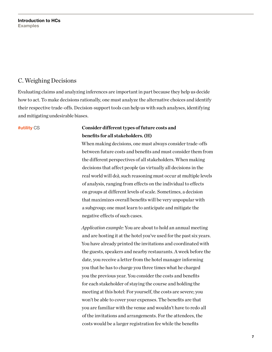### C. Weighing Decisions

Evaluating claims and analyzing inferences are important in part because they help us decide how to act. To make decisions rationally, one must analyze the alternative choices and identify their respective trade-offs. Decision-support tools can help us with such analyses, identifying and mitigating undesirable biases.

#### **#utility** CS **Consider different types of future costs and benefits for all stakeholders. (H)**

When making decisions, one must always consider trade-offs between future costs and benefits and must consider them from the different perspectives of all stakeholders. When making decisions that affect people (as virtually all decisions in the real world will do), such reasoning must occur at multiple levels of analysis, ranging from effects on the individual to effects on groups at different levels of scale. Sometimes, a decision that maximizes overall benefits will be very unpopular with a subgroup; one must learn to anticipate and mitigate the negative effects of such cases.

*Application example:* You are about to hold an annual meeting and are hosting it at the hotel you've used for the past six years. You have already printed the invitations and coordinated with the guests, speakers and nearby restaurants. A week before the date, you receive a letter from the hotel manager informing you that he has to charge you three times what he charged you the previous year. You consider the costs and benefits for each stakeholder of staying the course and holding the meeting at this hotel: For yourself, the costs are severe; you won't be able to cover your expenses. The benefits are that you are familiar with the venue and wouldn't have to redo all of the invitations and arrangements. For the attendees, the costs would be a larger registration fee while the benefits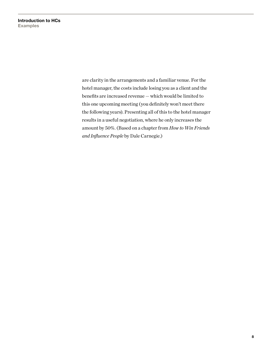are clarity in the arrangements and a familiar venue. For the hotel manager, the costs include losing you as a client and the benefits are increased revenue — which would be limited to this one upcoming meeting (you definitely won't meet there the following years). Presenting all of this to the hotel manager results in a useful negotiation, where he only increases the amount by 50%. (Based on a chapter from *How to Win Friends and Influence People* by Dale Carnegie.)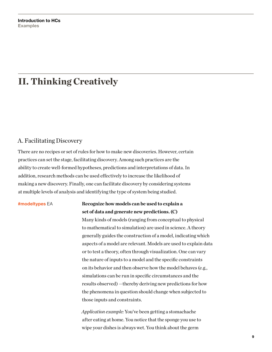## II. Thinking Creatively

#### A. Facilitating Discovery

There are no recipes or set of rules for how to make new discoveries. However, certain practices can set the stage, facilitating discovery. Among such practices are the ability to create well-formed hypotheses, predictions and interpretations of data. In addition, research methods can be used effectively to increase the likelihood of making a new discovery. Finally, one can facilitate discovery by considering systems at multiple levels of analysis and identifying the type of system being studied.

#### **#modeltypes** EA **Recognize how models can be used to explain a set of data and generate new predictions. (C)**

Many kinds of models (ranging from conceptual to physical to mathematical to simulation) are used in science. A theory generally guides the construction of a model, indicating which aspects of a model are relevant. Models are used to explain data or to test a theory, often through visualization. One can vary the nature of inputs to a model and the specific constraints on its behavior and then observe how the model behaves (e.g., simulations can be run in specific circumstances and the results observed) —thereby deriving new predictions for how the phenomena in question should change when subjected to those inputs and constraints.

*Application example:* You've been getting a stomachache after eating at home. You notice that the sponge you use to wipe your dishes is always wet. You think about the germ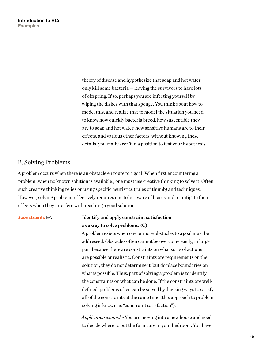theory of disease and hypothesize that soap and hot water only kill some bacteria — leaving the survivors to have lots of offspring. If so, perhaps you are infecting yourself by wiping the dishes with that sponge. You think about how to model this, and realize that to model the situation you need to know how quickly bacteria breed, how susceptible they are to soap and hot water, how sensitive humans are to their effects, and various other factors; without knowing these details, you really aren't in a position to test your hypothesis.

#### B. Solving Problems

A problem occurs when there is an obstacle en route to a goal. When first encountering a problem (when no known solution is available), one must use creative thinking to solve it. Often such creative thinking relies on using specific heuristics (rules of thumb) and techniques. However, solving problems effectively requires one to be aware of biases and to mitigate their effects when they interfere with reaching a good solution.

### **#constraints** EA **Identify and apply constraint satisfaction as a way to solve problems. (C)**

A problem exists when one or more obstacles to a goal must be addressed. Obstacles often cannot be overcome easily, in large part because there are constraints on what sorts of actions are possible or realistic. Constraints are requirements on the solution; they do not determine it, but do place boundaries on what is possible. Thus, part of solving a problem is to identify the constraints on what can be done. If the constraints are welldefined, problems often can be solved by devising ways to satisfy all of the constraints at the same time (this approach to problem solving is known as "constraint satisfaction").

*Application example:* You are moving into a new house and need to decide where to put the furniture in your bedroom. You have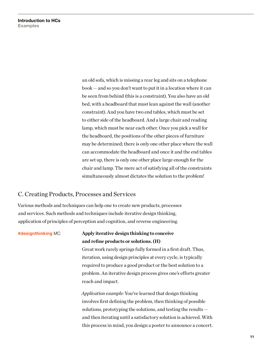an old sofa, which is missing a rear leg and sits on a telephone book — and so you don't want to put it in a location where it can be seen from behind (this is a constraint). You also have an old bed, with a headboard that must lean against the wall (another constraint). And you have two end tables, which must be set to either side of the headboard. And a large chair and reading lamp, which must be near each other. Once you pick a wall for the headboard, the positions of the other pieces of furniture may be determined; there is only one other place where the wall can accommodate the headboard and once it and the end tables are set up, there is only one other place large enough for the chair and lamp. The mere act of satisfying all of the constraints simultaneously almost dictates the solution to the problem!

#### C. Creating Products, Processes and Services

Various methods and techniques can help one to create new products, processes and services. Such methods and techniques include iterative design thinking, application of principles of perception and cognition, and reverse engineering.

### **#designthinking** MC **Apply iterative design thinking to conceive and refine products or solutions. (H)**

Great work rarely springs fully formed in a first draft. Thus, iteration, using design principles at every cycle, is typically required to produce a good product or the best solution to a problem. An iterative design process gives one's efforts greater reach and impact.

*Application example:* You've learned that design thinking involves first defining the problem, then thinking of possible solutions, prototyping the solutions, and testing the results and then iterating until a satisfactory solution is achieved. With this process in mind, you design a poster to announce a concert.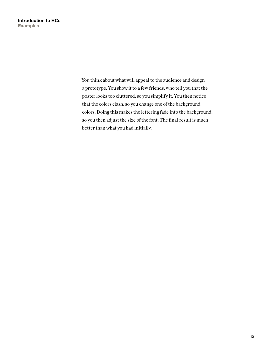You think about what will appeal to the audience and design a prototype. You show it to a few friends, who tell you that the poster looks too cluttered, so you simplify it. You then notice that the colors clash, so you change one of the background colors. Doing this makes the lettering fade into the background, so you then adjust the size of the font. The final result is much better than what you had initially.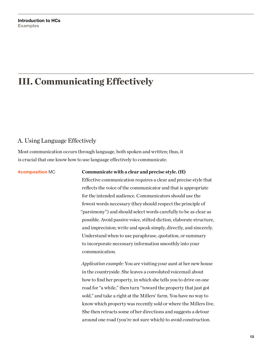## III. Communicating Effectively

### A. Using Language Effectively

Most communication occurs through language, both spoken and written; thus, it is crucial that one know how to use language effectively to communicate.

#### **#composition** MC **Communicate with a clear and precise style. (H)**

Effective communication requires a clear and precise style that reflects the voice of the communicator and that is appropriate for the intended audience. Communicators should use the fewest words necessary (they should respect the principle of "parsimony") and should select words carefully to be as clear as possible. Avoid passive voice, stilted diction, elaborate structure, and imprecision; write and speak simply, directly, and sincerely. Understand when to use paraphrase, quotation, or summary to incorporate necessary information smoothly into your communication.

*Application example:* You are visiting your aunt at her new house in the countryside. She leaves a convoluted voicemail about how to find her property, in which she tells you to drive on one road for "a while," then turn "toward the property that just got sold," and take a right at the Millers' farm. You have no way to know which property was recently sold or where the Millers live. She then retracts some of her directions and suggests a detour around one road (you're not sure which) to avoid construction.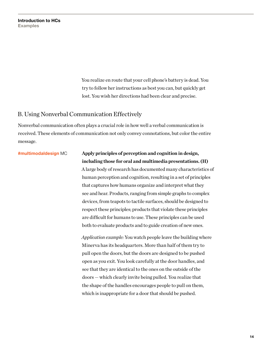You realize en route that your cell phone's battery is dead. You try to follow her instructions as best you can, but quickly get lost. You wish her directions had been clear and precise.

#### B. Using Nonverbal Communication Effectively

Nonverbal communication often plays a crucial role in how well a verbal communication is received. These elements of communication not only convey connotations, but color the entire message.

#### **#multimodaldesign** MC **Apply principles of perception and cognition in design, including those for oral and multimedia presentations. (H)**

A large body of research has documented many characteristics of human perception and cognition, resulting in a set of principles that captures how humans organize and interpret what they see and hear. Products, ranging from simple graphs to complex devices, from teapots to tactile surfaces, should be designed to respect these principles; products that violate these principles are difficult for humans to use. These principles can be used both to evaluate products and to guide creation of new ones.

*Application example:* You watch people leave the building where Minerva has its headquarters. More than half of them try to pull open the doors, but the doors are designed to be pushed open as you exit. You look carefully at the door handles, and see that they are identical to the ones on the outside of the doors — which clearly invite being pulled. You realize that the shape of the handles encourages people to pull on them, which is inappropriate for a door that should be pushed.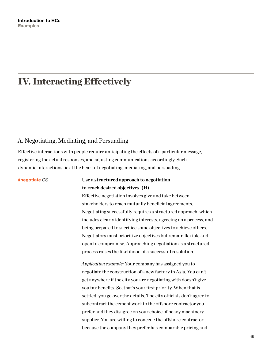## IV. Interacting Effectively

#### A. Negotiating, Mediating, and Persuading

Effective interactions with people require anticipating the effects of a particular message, registering the actual responses, and adjusting communications accordingly. Such dynamic interactions lie at the heart of negotiating, mediating, and persuading.

**#negotiate** CS **Use a structured approach to negotiation to reach desired objectives. (H)** Effective negotiation involves give and take between stakeholders to reach mutually beneficial agreements. Negotiating successfully requires a structured approach, which includes clearly identifying interests, agreeing on a process, and being prepared to sacrifice some objectives to achieve others. Negotiators must prioritize objectives but remain flexible and open to compromise. Approaching negotiation as a structured process raises the likelihood of a successful resolution.

> *Application example:* Your company has assigned you to negotiate the construction of a new factory in Asia. You can't get anywhere if the city you are negotiating with doesn't give you tax benefits. So, that's your first priority. When that is settled, you go over the details. The city officials don't agree to subcontract the cement work to the offshore contractor you prefer and they disagree on your choice of heavy machinery supplier. You are willing to concede the offshore contractor because the company they prefer has comparable pricing and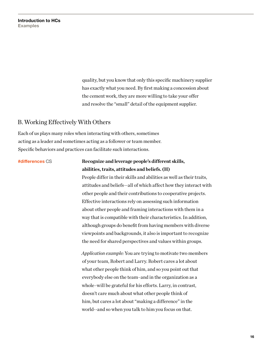quality, but you know that only this specific machinery supplier has exactly what you need. By first making a concession about the cement work, they are more willing to take your offer and resolve the "small" detail of the equipment supplier.

#### B. Working Effectively With Others

Each of us plays many roles when interacting with others, sometimes acting as a leader and sometimes acting as a follower or team member. Specific behaviors and practices can facilitate such interactions.

### **#differences** CS **Recognize and leverage people's different skills, abilities, traits, attitudes and beliefs. (H)**

People differ in their skills and abilities as well as their traits, attitudes and beliefs—all of which affect how they interact with other people and their contributions to cooperative projects. Effective interactions rely on assessing such information about other people and framing interactions with them in a way that is compatible with their characteristics. In addition, although groups do benefit from having members with diverse viewpoints and backgrounds, it also is important to recognize the need for shared perspectives and values within groups.

*Application example:* You are trying to motivate two members of your team, Robert and Larry. Robert cares a lot about what other people think of him, and so you point out that everybody else on the team–and in the organization as a whole–will be grateful for his efforts. Larry, in contrast, doesn't care much about what other people think of him, but cares a lot about "making a difference" in the world--and so when you talk to him you focus on that.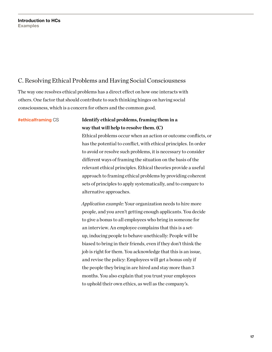### C. Resolving Ethical Problems and Having Social Consciousness

The way one resolves ethical problems has a direct effect on how one interacts with others. One factor that should contribute to such thinking hinges on having social consciousness, which is a concern for others and the common good.

### **#ethicalframing** CS **Identify ethical problems, framing them in a way that will help to resolve them. (C)**

Ethical problems occur when an action or outcome conflicts, or has the potential to conflict, with ethical principles. In order to avoid or resolve such problems, it is necessary to consider different ways of framing the situation on the basis of the relevant ethical principles. Ethical theories provide a useful approach to framing ethical problems by providing coherent sets of principles to apply systematically, and to compare to alternative approaches.

*Application example:* Your organization needs to hire more people, and you aren't getting enough applicants. You decide to give a bonus to all employees who bring in someone for an interview. An employee complains that this is a setup, inducing people to behave unethically: People will be biased to bring in their friends, even if they don't think the job is right for them. You acknowledge that this is an issue, and revise the policy: Employees will get a bonus only if the people they bring in are hired and stay more than 3 months. You also explain that you trust your employees to uphold their own ethics, as well as the company's.